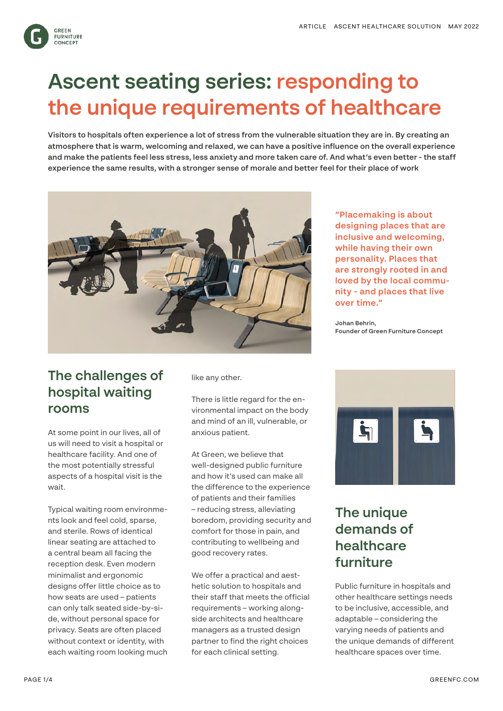

# **Ascent seating series: responding to the unique requirements of healthcare**

**Visitors to hospitals often experience a lot of stress from the vulnerable situation they are in. By creating an atmosphere that is warm, welcoming and relaxed, we can have a positive influence on the overall experience and make the patients feel less stress, less anxiety and more taken care of. And what's even better - the staff experience the same results, with a stronger sense of morale and better feel for their place of work**



#### **The challenges of hospital waiting rooms**

At some point in our lives, all of us will need to visit a hospital or healthcare facility. And one of the most potentially stressful aspects of a hospital visit is the wait.

Typical waiting room environments look and feel cold, sparse, and sterile. Rows of identical linear seating are attached to a central beam all facing the reception desk. Even modern minimalist and ergonomic designs offer little choice as to how seats are used – patients can only talk seated side-by-side, without personal space for privacy. Seats are often placed without context or identity, with each waiting room looking much like any other.

There is little regard for the environmental impact on the body and mind of an ill, vulnerable, or anxious patient.

At Green, we believe that well-designed public furniture and how it's used can make all the difference to the experience of patients and their families – reducing stress, alleviating boredom, providing security and comfort for those in pain, and contributing to wellbeing and good recovery rates.

We offer a practical and aesthetic solution to hospitals and their staff that meets the official requirements – working alongside architects and healthcare managers as a trusted design partner to find the right choices for each clinical setting.

**"Placemaking is about designing places that are inclusive and welcoming, while having their own personality. Places that are strongly rooted in and loved by the local community - and places that live over time."**

**Johan Behrin, Founder of Green Furniture Concept**



## **The unique demands of healthcare furniture**

Public furniture in hospitals and other healthcare settings needs to be inclusive, accessible, and adaptable – considering the varying needs of patients and the unique demands of different healthcare spaces over time.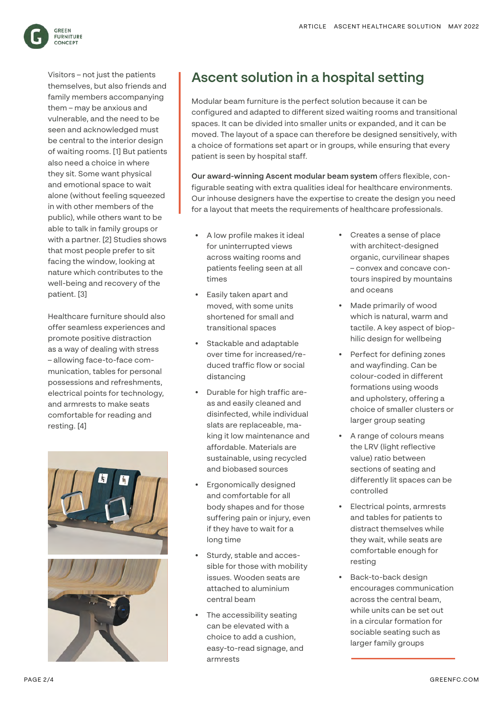

Visitors – not just the patients themselves, but also friends and family members accompanying them – may be anxious and vulnerable, and the need to be seen and acknowledged must be central to the interior design of waiting rooms. [1] But patients also need a choice in where they sit. Some want physical and emotional space to wait alone (without feeling squeezed in with other members of the public), while others want to be able to talk in family groups or with a partner. [2] Studies shows that most people prefer to sit facing the window, looking at nature which contributes to the well-being and recovery of the patient. [3]

Healthcare furniture should also offer seamless experiences and promote positive distraction as a way of dealing with stress – allowing face-to-face communication, tables for personal possessions and refreshments, electrical points for technology, and armrests to make seats comfortable for reading and resting. [4]





#### **Ascent solution in a hospital setting**

Modular beam furniture is the perfect solution because it can be configured and adapted to different sized waiting rooms and transitional spaces. It can be divided into smaller units or expanded, and it can be moved. The layout of a space can therefore be designed sensitively, with a choice of formations set apart or in groups, while ensuring that every patient is seen by hospital staff.

**Our award-winning Ascent modular beam system** offers flexible, configurable seating with extra qualities ideal for healthcare environments. Our inhouse designers have the expertise to create the design you need for a layout that meets the requirements of healthcare professionals.

- A low profile makes it ideal for uninterrupted views across waiting rooms and patients feeling seen at all times
- Easily taken apart and moved, with some units shortened for small and transitional spaces
- Stackable and adaptable over time for increased/reduced traffic flow or social distancing
- Durable for high traffic areas and easily cleaned and disinfected, while individual slats are replaceable, making it low maintenance and affordable. Materials are sustainable, using recycled and biobased sources
- Ergonomically designed and comfortable for all body shapes and for those suffering pain or injury, even if they have to wait for a long time
- Sturdy, stable and accessible for those with mobility issues. Wooden seats are attached to aluminium central beam
- The accessibility seating can be elevated with a choice to add a cushion, easy-to-read signage, and armrests
- Creates a sense of place with architect-designed organic, curvilinear shapes – convex and concave contours inspired by mountains and oceans
- Made primarily of wood which is natural, warm and tactile. A key aspect of biophilic design for wellbeing
- Perfect for defining zones and wayfinding. Can be colour-coded in different formations using woods and upholstery, offering a choice of smaller clusters or larger group seating
- A range of colours means the LRV (light reflective value) ratio between sections of seating and differently lit spaces can be controlled
- Electrical points, armrests and tables for patients to distract themselves while they wait, while seats are comfortable enough for resting
- Back-to-back design encourages communication across the central beam, while units can be set out in a circular formation for sociable seating such as larger family groups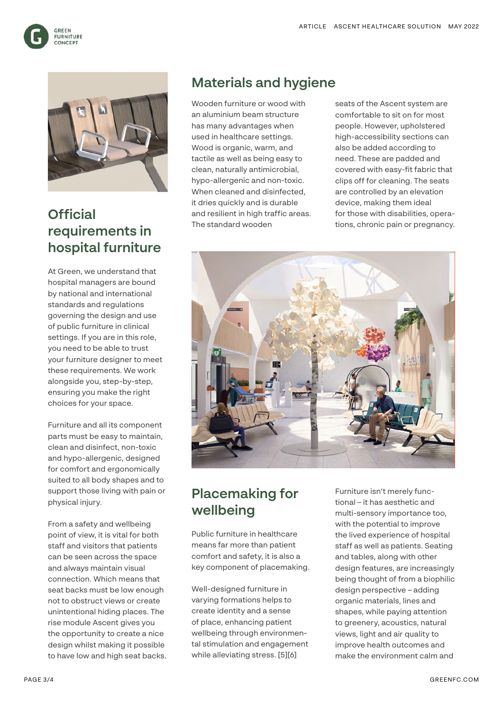



## **Official requirements in hospital furniture**

At Green, we understand that hospital managers are bound by national and international standards and regulations governing the design and use of public furniture in clinical settings. If you are in this role, you need to be able to trust your furniture designer to meet these requirements. We work alongside you, step-by-step, ensuring you make the right choices for your space.

Furniture and all its component parts must be easy to maintain, clean and disinfect, non-toxic and hypo-allergenic, designed for comfort and ergonomically suited to all body shapes and to support those living with pain or physical injury.

From a safety and wellbeing point of view, it is vital for both staff and visitors that patients can be seen across the space and always maintain visual connection. Which means that seat backs must be low enough not to obstruct views or create unintentional hiding places. The rise module Ascent gives you the opportunity to create a nice design whilst making it possible to have low and high seat backs.

### **Materials and hygiene**

Wooden furniture or wood with an aluminium beam structure has many advantages when used in healthcare settings. Wood is organic, warm, and tactile as well as being easy to clean, naturally antimicrobial, hypo-allergenic and non-toxic. When cleaned and disinfected, it dries quickly and is durable and resilient in high traffic areas. The standard wooden

seats of the Ascent system are comfortable to sit on for most people. However, upholstered high-accessibility sections can also be added according to need. These are padded and covered with easy-fit fabric that clips off for cleaning. The seats are controlled by an elevation device, making them ideal for those with disabilities, operations, chronic pain or pregnancy.



# **Placemaking for wellbeing**

Public furniture in healthcare means far more than patient comfort and safety, it is also a key component of placemaking.

Well-designed furniture in varying formations helps to create identity and a sense of place, enhancing patient wellbeing through environmental stimulation and engagement while alleviating stress. [5][6]

Furniture isn't merely functional – it has aesthetic and multi-sensory importance too, with the potential to improve the lived experience of hospital staff as well as patients. Seating and tables, along with other design features, are increasingly being thought of from a biophilic design perspective – adding organic materials, lines and shapes, while paying attention to greenery, acoustics, natural views, light and air quality to improve health outcomes and make the environment calm and